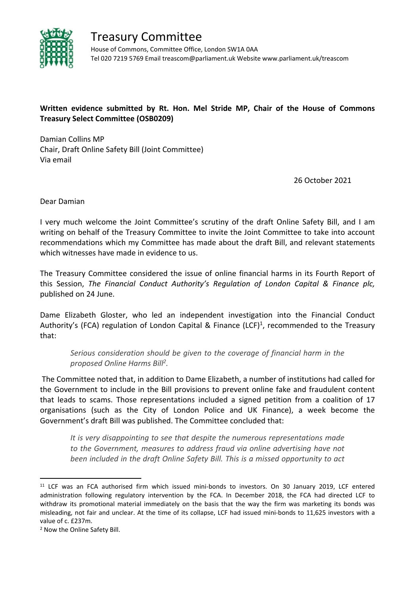

Treasury Committee House of Commons, Committee Office, London SW1A 0AA Tel 020 7219 5769 Email treascom@parliament.uk Website www.parliament.uk/treascom

## **Written evidence submitted by Rt. Hon. Mel Stride MP, Chair of the House of Commons Treasury Select Committee (OSB0209)**

Damian Collins MP Chair, Draft Online Safety Bill (Joint Committee) Via email

26 October 2021

Dear Damian

I very much welcome the Joint Committee's scrutiny of the draft Online Safety Bill, and I am writing on behalf of the Treasury Committee to invite the Joint Committee to take into account recommendations which my Committee has made about the draft Bill, and relevant statements which witnesses have made in evidence to us.

The Treasury Committee considered the issue of online financial harms in its Fourth Report of this Session, *The Financial Conduct Authority's Regulation of London Capital & Finance plc,* published on 24 June.

Dame Elizabeth Gloster, who led an independent investigation into the Financial Conduct Authority's (FCA) regulation of London Capital & Finance (LCF)<sup>1</sup>, recommended to the Treasury that:

*Serious consideration should be given to the coverage of financial harm in the proposed Online Harms Bill<sup>2</sup> .*

The Committee noted that, in addition to Dame Elizabeth, a number of institutions had called for the Government to include in the Bill provisions to prevent online fake and fraudulent content that leads to scams. Those representations included a signed petition from a coalition of 17 organisations (such as the City of London Police and UK Finance), a week become the Government's draft Bill was published. The Committee concluded that:

*It is very disappointing to see that despite the numerous representations made to the Government, measures to address fraud via online advertising have not been included in the draft Online Safety Bill. This is a missed opportunity to act*

<sup>11</sup> LCF was an FCA authorised firm which issued mini-bonds to investors. On 30 January 2019, LCF entered administration following regulatory intervention by the FCA. In December 2018, the FCA had directed LCF to withdraw its promotional material immediately on the basis that the way the firm was marketing its bonds was misleading, not fair and unclear. At the time of its collapse, LCF had issued mini-bonds to 11,625 investors with a value of c. £237m.

<sup>2</sup> Now the Online Safety Bill.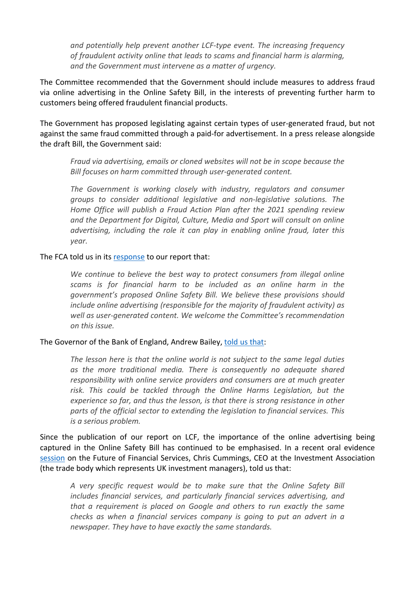*and potentially help prevent another LCF-type event. The increasing frequency of fraudulent activity online that leads to scams and financial harm is alarming, and the Government must intervene as a matter of urgency.*

The Committee recommended that the Government should include measures to address fraud via online advertising in the Online Safety Bill, in the interests of preventing further harm to customers being offered fraudulent financial products.

The Government has proposed legislating against certain types of user-generated fraud, but not against the same fraud committed through a paid-for advertisement. In a press release alongside the draft Bill, the Government said:

*Fraud via advertising, emails or cloned websites will not be in scope because the Bill focuses on harm committed through user-generated content.*

*The Government is working closely with industry, regulators and consumer groups to consider additional legislative and non-legislative solutions. The Home Office will publish a Fraud Action Plan after the 2021 spending review and the Department for Digital, Culture, Media and Sport will consult on online advertising, including the role it can play in enabling online fraud, later this year.*

## The FCA told us in its [response](https://committees.parliament.uk/publications/7237/documents/76204/default/) to our report that:

*We continue to believe the best way to protect consumers from illegal online scams is for financial harm to be included as an online harm in the government's proposed Online Safety Bill. We believe these provisions should include online advertising (responsible for the majority of fraudulent activity) as well as user-generated content. We welcome the Committee's recommendation on this issue.*

## The Governor of the Bank of England, Andrew Bailey, [told](https://committees.parliament.uk/publications/5304/documents/52929/default/) [us](https://committees.parliament.uk/publications/5304/documents/52929/default/) [that](https://committees.parliament.uk/publications/5304/documents/52929/default/):

*The lesson here is that the online world is not subject to the same legal duties as the more traditional media. There is consequently no adequate shared responsibility with online service providers and consumers are at much greater risk. This could be tackled through the Online Harms Legislation, but the experience so far, and thus the lesson, is that there is strong resistance in other parts of the official sector to extending the legislation to financial services. This is a serious problem.*

Since the publication of our report on LCF, the importance of the online advertising being captured in the Online Safety Bill has continued to be emphasised. In a recent oral evidence [session](https://committees.parliament.uk/oralevidence/2743/pdf/) on the Future of Financial Services, Chris Cummings, CEO at the Investment Association (the trade body which represents UK investment managers), told us that:

*A very specific request would be to make sure that the Online Safety Bill includes financial services, and particularly financial services advertising, and that a requirement is placed on Google and others to run exactly the same checks as when a financial services company is going to put an advert in a newspaper. They have to have exactly the same standards.*